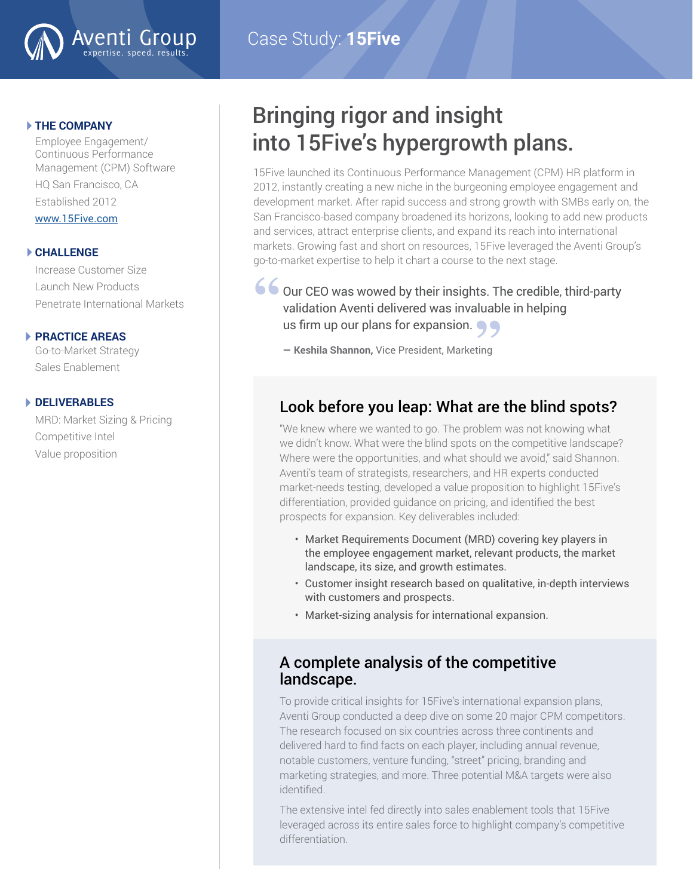

## Case Study: **15Five**

#### **THE COMPANY**

Employee Engagement/ Continuous Performance Management (CPM) Software HQ San Francisco, CA Established 2012

www.15Five.co[m](http://www.servicenow.com )

#### **CHALLENGE**

Increase Customer Size Launch New Products Penetrate International Markets

#### **PRACTICE AREAS**

Go-to-Market Strategy Sales Enablement

#### **DELIVERABLES**

MRD: Market Sizing & Pricing Competitive Intel Value proposition

## Bringing rigor and insight into 15Five's hypergrowth plans.

15Five launched its Continuous Performance Management (CPM) HR platform in 2012, instantly creating a new niche in the burgeoning employee engagement and development market. After rapid success and strong growth with SMBs early on, the San Francisco-based company broadened its horizons, looking to add new products and services, attract enterprise clients, and expand its reach into international markets. Growing fast and short on resources, 15Five leveraged the Aventi Group's go-to-market expertise to help it chart a course to the next stage.

Our CEO was wowed by their insights. The credible, third-party validation Aventi delivered was invaluable in helping US firm up our plans for expansion.<br>
<del>- Keshila Shannon</del>, Vice President, Marketing **66** Ou

**— Keshila Shannon,** Vice President, Marketing

## Look before you leap: What are the blind spots?

"We knew where we wanted to go. The problem was not knowing what we didn't know. What were the blind spots on the competitive landscape? Where were the opportunities, and what should we avoid," said Shannon. Aventi's team of strategists, researchers, and HR experts conducted market-needs testing, developed a value proposition to highlight 15Five's differentiation, provided guidance on pricing, and identified the best prospects for expansion. Key deliverables included:

- Market Requirements Document (MRD) covering key players in the employee engagement market, relevant products, the market landscape, its size, and growth estimates.
- Customer insight research based on qualitative, in-depth interviews with customers and prospects.
- Market-sizing analysis for international expansion.

### A complete analysis of the competitive landscape.

To provide critical insights for 15Five's international expansion plans, Aventi Group conducted a deep dive on some 20 major CPM competitors. The research focused on six countries across three continents and delivered hard to find facts on each player, including annual revenue, notable customers, venture funding, "street" pricing, branding and marketing strategies, and more. Three potential M&A targets were also identified.

The extensive intel fed directly into sales enablement tools that 15Five leveraged across its entire sales force to highlight company's competitive differentiation.